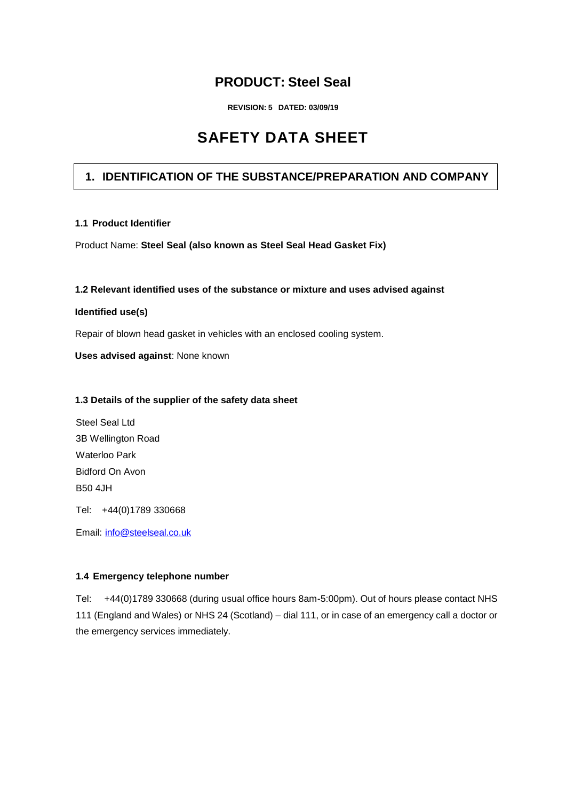## **PRODUCT: Steel Seal**

**REVISION: 5 DATED: 03/09/19**

# **SAFETY DATA SHEET**

## **1. IDENTIFICATION OF THE SUBSTANCE/PREPARATION AND COMPANY**

#### **1.1 Product Identifier**

Product Name: **Steel Seal (also known as Steel Seal Head Gasket Fix)**

#### **1.2 Relevant identified uses of the substance or mixture and uses advised against**

#### **Identified use(s)**

Repair of blown head gasket in vehicles with an enclosed cooling system.

**Uses advised against**: None known

#### **1.3 Details of the supplier of the safety data sheet**

Steel Seal Ltd 3B Wellington Road Waterloo Park Bidford On Avon B50 4JH

Tel: +44(0)1789 330668

Email: [info@steelseal.co.uk](mailto:info@steelseal.co.uk)

#### **1.4 Emergency telephone number**

Tel: +44(0)1789 330668 (during usual office hours 8am-5:00pm). Out of hours please contact NHS 111 (England and Wales) or NHS 24 (Scotland) – dial 111, or in case of an emergency call a doctor or the emergency services immediately.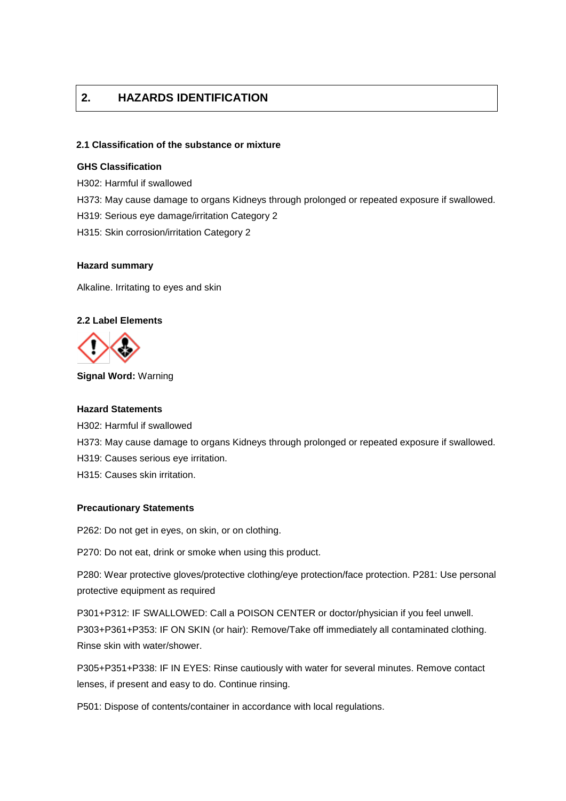## **2. HAZARDS IDENTIFICATION**

#### **2.1 Classification of the substance or mixture**

#### **GHS Classification**

- H302: Harmful if swallowed
- H373: May cause damage to organs Kidneys through prolonged or repeated exposure if swallowed.
- H319: Serious eye damage/irritation Category 2
- H315: Skin corrosion/irritation Category 2

#### **Hazard summary**

Alkaline. Irritating to eyes and skin

#### **2.2 Label Elements**



**Signal Word:** Warning

#### **Hazard Statements**

H302: Harmful if swallowed H373: May cause damage to organs Kidneys through prolonged or repeated exposure if swallowed. H319: Causes serious eye irritation. H315: Causes skin irritation.

#### **Precautionary Statements**

P262: Do not get in eyes, on skin, or on clothing.

P270: Do not eat, drink or smoke when using this product.

P280: Wear protective gloves/protective clothing/eye protection/face protection. P281: Use personal protective equipment as required

P301+P312: IF SWALLOWED: Call a POISON CENTER or doctor/physician if you feel unwell. P303+P361+P353: IF ON SKIN (or hair): Remove/Take off immediately all contaminated clothing. Rinse skin with water/shower.

P305+P351+P338: IF IN EYES: Rinse cautiously with water for several minutes. Remove contact lenses, if present and easy to do. Continue rinsing.

P501: Dispose of contents/container in accordance with local regulations.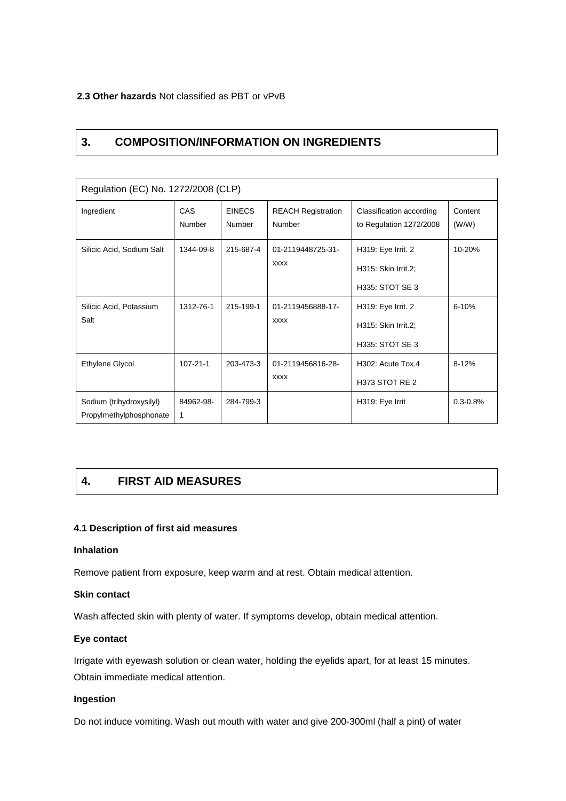#### **2.3 Other hazards** Not classified as PBT or vPvB

## **3. COMPOSITION/INFORMATION ON INGREDIENTS**

| Regulation (EC) No. 1272/2008 (CLP)                 |                |                         |                                     |                                                              |                  |  |  |
|-----------------------------------------------------|----------------|-------------------------|-------------------------------------|--------------------------------------------------------------|------------------|--|--|
| Ingredient                                          | CAS<br>Number  | <b>EINECS</b><br>Number | <b>REACH Registration</b><br>Number | Classification according<br>to Regulation 1272/2008          | Content<br>(W/W) |  |  |
| Silicic Acid, Sodium Salt                           | 1344-09-8      | 215-687-4               | 01-2119448725-31-<br><b>XXXX</b>    | H319: Eye Irrit. 2<br>H315: Skin Irrit.2;<br>H335: STOT SE 3 | 10-20%           |  |  |
| Silicic Acid, Potassium<br>Salt                     | 1312-76-1      | 215-199-1               | 01-2119456888-17-<br><b>XXXX</b>    | H319: Eye Irrit. 2<br>H315: Skin Irrit.2;<br>H335: STOT SE 3 | $6 - 10%$        |  |  |
| Ethylene Glycol                                     | $107 - 21 - 1$ | 203-473-3               | 01-2119456816-28-<br><b>XXXX</b>    | H <sub>302</sub> : Acute Tox.4<br>H373 STOT RE 2             | $8 - 12%$        |  |  |
| Sodium (trihydroxysilyl)<br>Propylmethylphosphonate | 84962-98-<br>1 | 284-799-3               |                                     | H319: Eye Irrit                                              | $0.3 - 0.8%$     |  |  |

## **4. FIRST AID MEASURES**

#### **4.1 Description of first aid measures**

#### **Inhalation**

Remove patient from exposure, keep warm and at rest. Obtain medical attention.

#### **Skin contact**

Wash affected skin with plenty of water. If symptoms develop, obtain medical attention.

#### **Eye contact**

Irrigate with eyewash solution or clean water, holding the eyelids apart, for at least 15 minutes. Obtain immediate medical attention.

#### **Ingestion**

Do not induce vomiting. Wash out mouth with water and give 200-300ml (half a pint) of water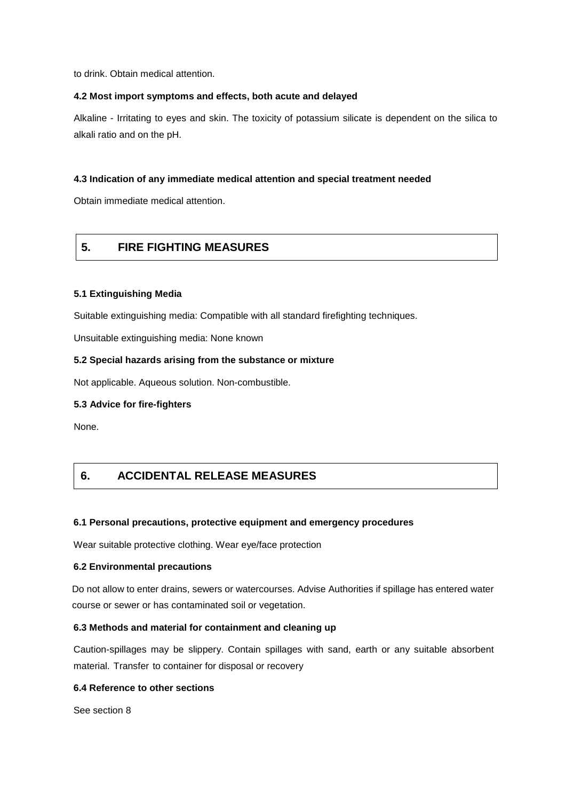to drink. Obtain medical attention.

#### **4.2 Most import symptoms and effects, both acute and delayed**

Alkaline - Irritating to eyes and skin. The toxicity of potassium silicate is dependent on the silica to alkali ratio and on the pH.

#### **4.3 Indication of any immediate medical attention and special treatment needed**

Obtain immediate medical attention.

## **5. FIRE FIGHTING MEASURES**

#### **5.1 Extinguishing Media**

Suitable extinguishing media: Compatible with all standard firefighting techniques.

Unsuitable extinguishing media: None known

#### **5.2 Special hazards arising from the substance or mixture**

Not applicable. Aqueous solution. Non-combustible.

#### **5.3 Advice for fire-fighters**

None.

## **6. ACCIDENTAL RELEASE MEASURES**

#### **6.1 Personal precautions, protective equipment and emergency procedures**

Wear suitable protective clothing. Wear eye/face protection

#### **6.2 Environmental precautions**

Do not allow to enter drains, sewers or watercourses. Advise Authorities if spillage has entered water course or sewer or has contaminated soil or vegetation.

#### **6.3 Methods and material for containment and cleaning up**

Caution-spillages may be slippery. Contain spillages with sand, earth or any suitable absorbent material. Transfer to container for disposal or recovery

#### **6.4 Reference to other sections**

See section 8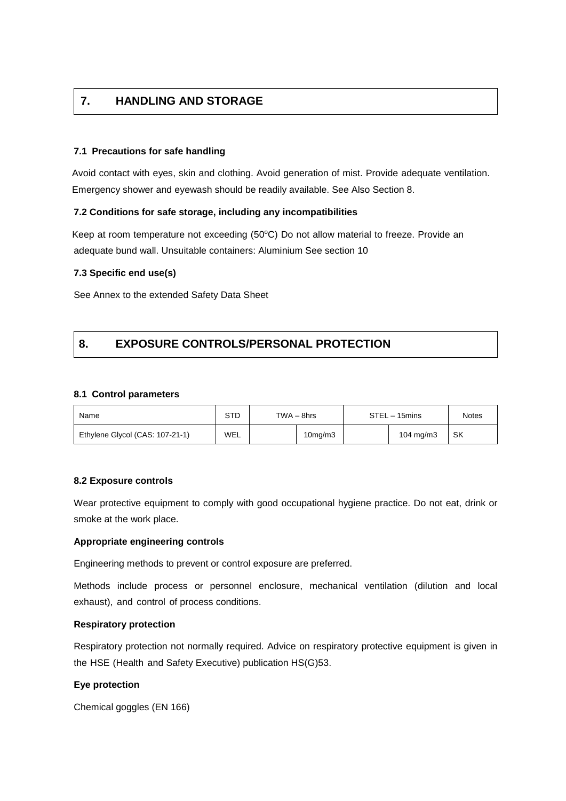## **7. HANDLING AND STORAGE**

#### **7.1 Precautions for safe handling**

Avoid contact with eyes, skin and clothing. Avoid generation of mist. Provide adequate ventilation. Emergency shower and eyewash should be readily available. See Also Section 8.

#### **7.2 Conditions for safe storage, including any incompatibilities**

Keep at room temperature not exceeding (50°C) Do not allow material to freeze. Provide an adequate bund wall. Unsuitable containers: Aluminium See section 10

#### **7.3 Specific end use(s)**

See Annex to the extended Safety Data Sheet

## **8. EXPOSURE CONTROLS/PERSONAL PROTECTION**

#### **8.1 Control parameters**

| Name                            | STD<br>$TWA - 8hrs$ |  | STEL - 15mins        |  | Notes                |    |
|---------------------------------|---------------------|--|----------------------|--|----------------------|----|
| Ethylene Glycol (CAS: 107-21-1) | WEL                 |  | 10 <sub>mg</sub> /m3 |  | $104 \text{ mg/m}$ 3 | SK |

#### **8.2 Exposure controls**

Wear protective equipment to comply with good occupational hygiene practice. Do not eat, drink or smoke at the work place.

#### **Appropriate engineering controls**

Engineering methods to prevent or control exposure are preferred.

Methods include process or personnel enclosure, mechanical ventilation (dilution and local exhaust), and control of process conditions.

#### **Respiratory protection**

Respiratory protection not normally required. Advice on respiratory protective equipment is given in the HSE (Health and Safety Executive) publication HS(G)53.

#### **Eye protection**

Chemical goggles (EN 166)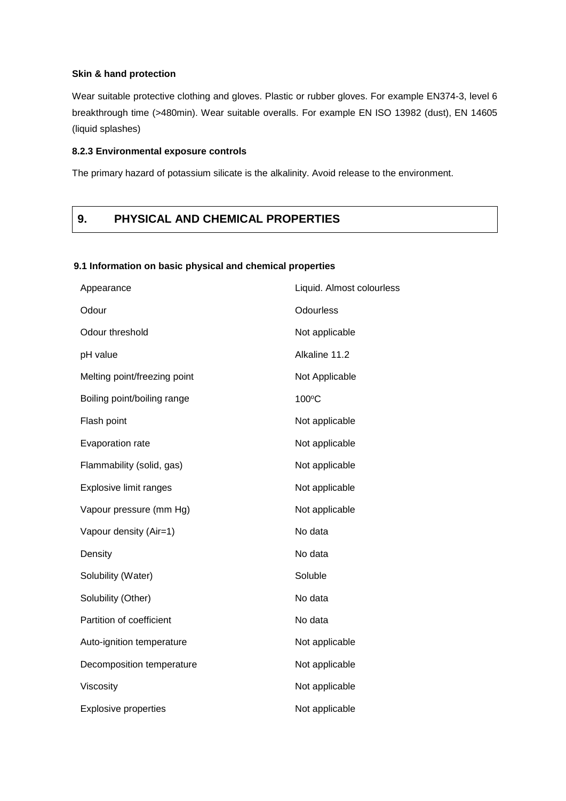#### **Skin & hand protection**

Wear suitable protective clothing and gloves. Plastic or rubber gloves. For example EN374-3, level 6 breakthrough time (>480min). Wear suitable overalls. For example EN ISO 13982 (dust), EN 14605 (liquid splashes)

#### **8.2.3 Environmental exposure controls**

The primary hazard of potassium silicate is the alkalinity. Avoid release to the environment.

## **9. PHYSICAL AND CHEMICAL PROPERTIES**

#### **9.1 Information on basic physical and chemical properties**

| Appearance                   | Liquid. Almost colourless |  |  |
|------------------------------|---------------------------|--|--|
| Odour                        | Odourless                 |  |  |
| Odour threshold              | Not applicable            |  |  |
| pH value                     | Alkaline 11.2             |  |  |
| Melting point/freezing point | Not Applicable            |  |  |
| Boiling point/boiling range  | 100°C                     |  |  |
| Flash point                  | Not applicable            |  |  |
| Evaporation rate             | Not applicable            |  |  |
| Flammability (solid, gas)    | Not applicable            |  |  |
| Explosive limit ranges       | Not applicable            |  |  |
| Vapour pressure (mm Hg)      | Not applicable            |  |  |
| Vapour density (Air=1)       | No data                   |  |  |
| Density                      | No data                   |  |  |
| Solubility (Water)           | Soluble                   |  |  |
| Solubility (Other)           | No data                   |  |  |
| Partition of coefficient     | No data                   |  |  |
| Auto-ignition temperature    | Not applicable            |  |  |
| Decomposition temperature    | Not applicable            |  |  |
| Viscosity                    | Not applicable            |  |  |
| <b>Explosive properties</b>  | Not applicable            |  |  |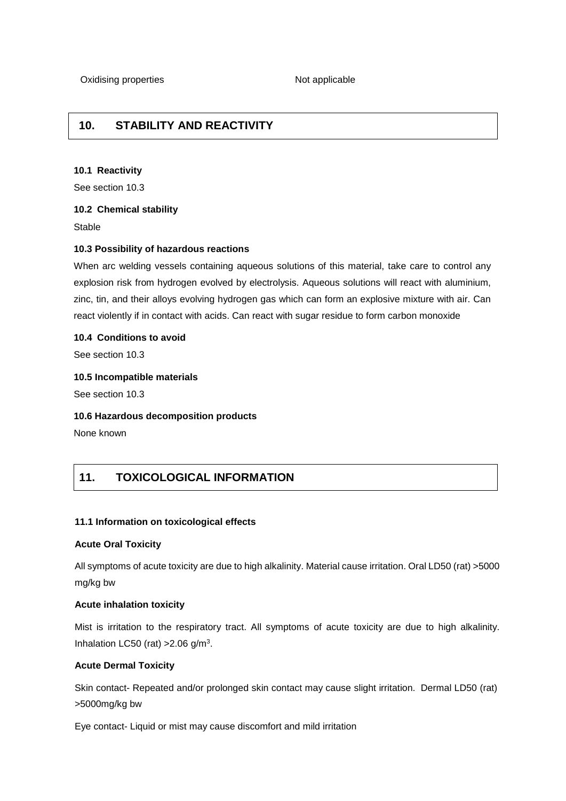## **10. STABILITY AND REACTIVITY**

#### **10.1 Reactivity**

See section 10.3

#### **10.2 Chemical stability**

Stable

#### **10.3 Possibility of hazardous reactions**

When arc welding vessels containing aqueous solutions of this material, take care to control any explosion risk from hydrogen evolved by electrolysis. Aqueous solutions will react with aluminium, zinc, tin, and their alloys evolving hydrogen gas which can form an explosive mixture with air. Can react violently if in contact with acids. Can react with sugar residue to form carbon monoxide

#### **10.4 Conditions to avoid**

See section 10.3

#### **10.5 Incompatible materials**

See section 10.3

#### **10.6 Hazardous decomposition products**

None known

## **11. TOXICOLOGICAL INFORMATION**

#### **11.1 Information on toxicological effects**

#### **Acute Oral Toxicity**

All symptoms of acute toxicity are due to high alkalinity. Material cause irritation. Oral LD50 (rat) >5000 mg/kg bw

#### **Acute inhalation toxicity**

Mist is irritation to the respiratory tract. All symptoms of acute toxicity are due to high alkalinity. Inhalation LC50 (rat)  $>2.06$  g/m<sup>3</sup>.

#### **Acute Dermal Toxicity**

Skin contact- Repeated and/or prolonged skin contact may cause slight irritation. Dermal LD50 (rat) >5000mg/kg bw

Eye contact- Liquid or mist may cause discomfort and mild irritation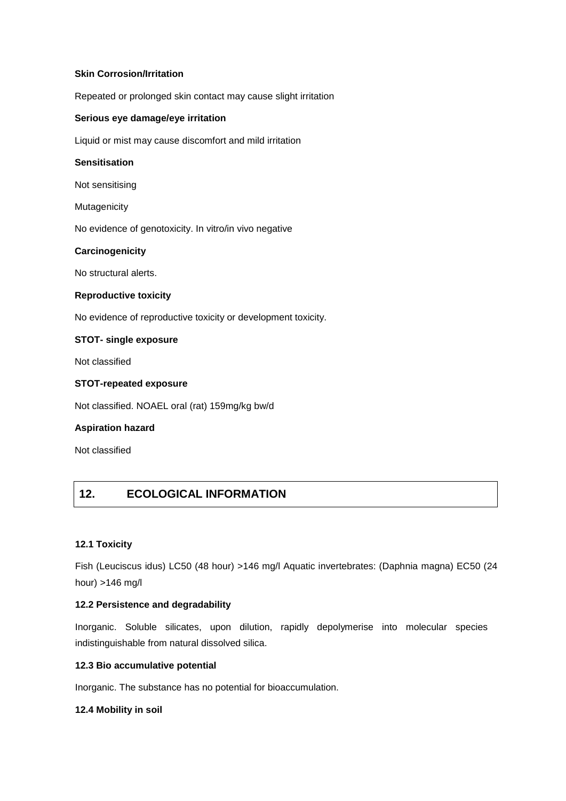### **Skin Corrosion/Irritation**

Repeated or prolonged skin contact may cause slight irritation

#### **Serious eye damage/eye irritation**

Liquid or mist may cause discomfort and mild irritation

#### **Sensitisation**

Not sensitising

Mutagenicity

No evidence of genotoxicity. In vitro/in vivo negative

#### **Carcinogenicity**

No structural alerts.

#### **Reproductive toxicity**

No evidence of reproductive toxicity or development toxicity.

#### **STOT- single exposure**

Not classified

#### **STOT-repeated exposure**

Not classified. NOAEL oral (rat) 159mg/kg bw/d

#### **Aspiration hazard**

Not classified

## **12. ECOLOGICAL INFORMATION**

#### **12.1 Toxicity**

Fish (Leuciscus idus) LC50 (48 hour) >146 mg/l Aquatic invertebrates: (Daphnia magna) EC50 (24 hour) >146 mg/l

#### **12.2 Persistence and degradability**

Inorganic. Soluble silicates, upon dilution, rapidly depolymerise into molecular species indistinguishable from natural dissolved silica.

#### **12.3 Bio accumulative potential**

Inorganic. The substance has no potential for bioaccumulation.

#### **12.4 Mobility in soil**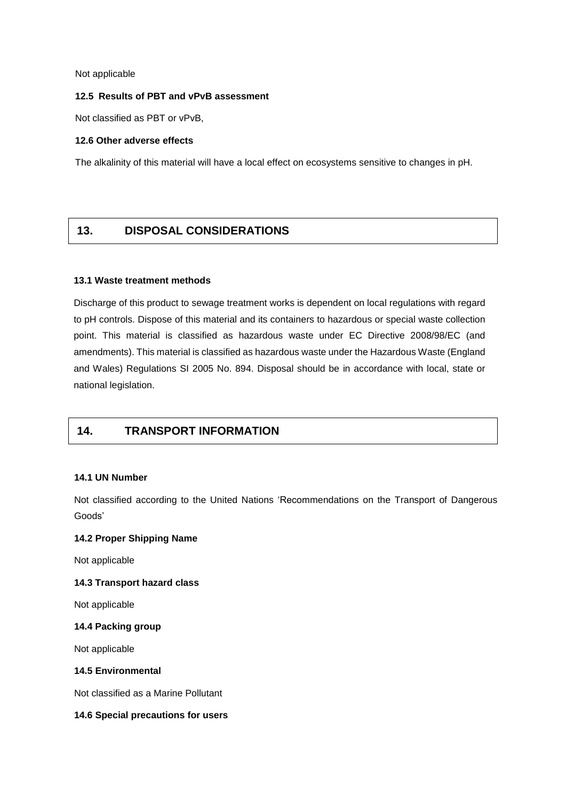Not applicable

#### **12.5 Results of PBT and vPvB assessment**

Not classified as PBT or vPvB,

#### **12.6 Other adverse effects**

The alkalinity of this material will have a local effect on ecosystems sensitive to changes in pH.

## **13. DISPOSAL CONSIDERATIONS**

#### **13.1 Waste treatment methods**

Discharge of this product to sewage treatment works is dependent on local regulations with regard to pH controls. Dispose of this material and its containers to hazardous or special waste collection point. This material is classified as hazardous waste under EC Directive 2008/98/EC (and amendments). This material is classified as hazardous waste under the Hazardous Waste (England and Wales) Regulations SI 2005 No. 894. Disposal should be in accordance with local, state or national legislation.

## **14. TRANSPORT INFORMATION**

#### **14.1 UN Number**

Not classified according to the United Nations 'Recommendations on the Transport of Dangerous Goods'

#### **14.2 Proper Shipping Name**

Not applicable

#### **14.3 Transport hazard class**

Not applicable

#### **14.4 Packing group**

Not applicable

#### **14.5 Environmental**

Not classified as a Marine Pollutant

#### **14.6 Special precautions for users**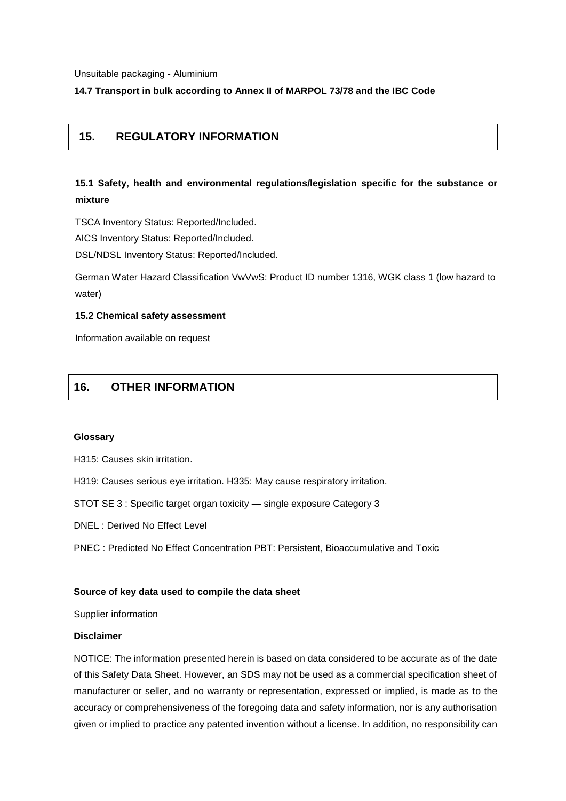Unsuitable packaging - Aluminium

**14.7 Transport in bulk according to Annex II of MARPOL 73/78 and the IBC Code**

## **15. REGULATORY INFORMATION**

## **15.1 Safety, health and environmental regulations/legislation specific for the substance or mixture**

TSCA Inventory Status: Reported/Included.

AICS Inventory Status: Reported/Included.

DSL/NDSL Inventory Status: Reported/Included.

German Water Hazard Classification VwVwS: Product ID number 1316, WGK class 1 (low hazard to water)

#### **15.2 Chemical safety assessment**

Information available on request

## **16. OTHER INFORMATION**

#### **Glossary**

H315: Causes skin irritation.

H319: Causes serious eye irritation. H335: May cause respiratory irritation.

STOT SE 3 : Specific target organ toxicity — single exposure Category 3

DNEL : Derived No Effect Level

PNEC : Predicted No Effect Concentration PBT: Persistent, Bioaccumulative and Toxic

#### **Source of key data used to compile the data sheet**

Supplier information

#### **Disclaimer**

NOTICE: The information presented herein is based on data considered to be accurate as of the date of this Safety Data Sheet. However, an SDS may not be used as a commercial specification sheet of manufacturer or seller, and no warranty or representation, expressed or implied, is made as to the accuracy or comprehensiveness of the foregoing data and safety information, nor is any authorisation given or implied to practice any patented invention without a license. In addition, no responsibility can